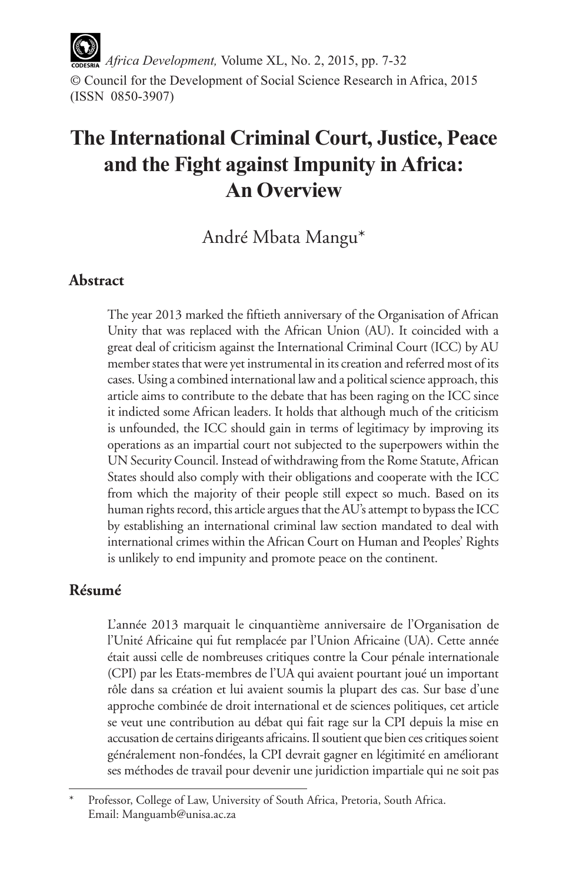*Africa Development,* Volume XL, No. 2, 2015, pp. 7-32 © Council for the Development of Social Science Research in Africa, 2015 (ISSN 0850-3907)

# **The International Criminal Court, Justice, Peace and the Fight against Impunity in Africa: An Overview**

André Mbata Mangu\*

## **Abstract**

The year 2013 marked the fiftieth anniversary of the Organisation of African Unity that was replaced with the African Union (AU). It coincided with a great deal of criticism against the International Criminal Court (ICC) by AU member states that were yet instrumental in its creation and referred most of its cases. Using a combined international law and a political science approach, this article aims to contribute to the debate that has been raging on the ICC since it indicted some African leaders. It holds that although much of the criticism is unfounded, the ICC should gain in terms of legitimacy by improving its operations as an impartial court not subjected to the superpowers within the UN Security Council. Instead of withdrawing from the Rome Statute, African States should also comply with their obligations and cooperate with the ICC from which the majority of their people still expect so much. Based on its human rights record, this article argues that the AU's attempt to bypass the ICC by establishing an international criminal law section mandated to deal with international crimes within the African Court on Human and Peoples' Rights is unlikely to end impunity and promote peace on the continent.

# **Résumé**

L'année 2013 marquait le cinquantième anniversaire de l'Organisation de l'Unité Africaine qui fut remplacée par l'Union Africaine (UA). Cette année était aussi celle de nombreuses critiques contre la Cour pénale internationale (CPI) par les Etats-membres de l'UA qui avaient pourtant joué un important rôle dans sa création et lui avaient soumis la plupart des cas. Sur base d'une approche combinée de droit international et de sciences politiques, cet article se veut une contribution au débat qui fait rage sur la CPI depuis la mise en accusation de certains dirigeants africains. Il soutient que bien ces critiques soient généralement non-fondées, la CPI devrait gagner en légitimité en améliorant ses méthodes de travail pour devenir une juridiction impartiale qui ne soit pas

Professor, College of Law, University of South Africa, Pretoria, South Africa. Email: Manguamb@unisa.ac.za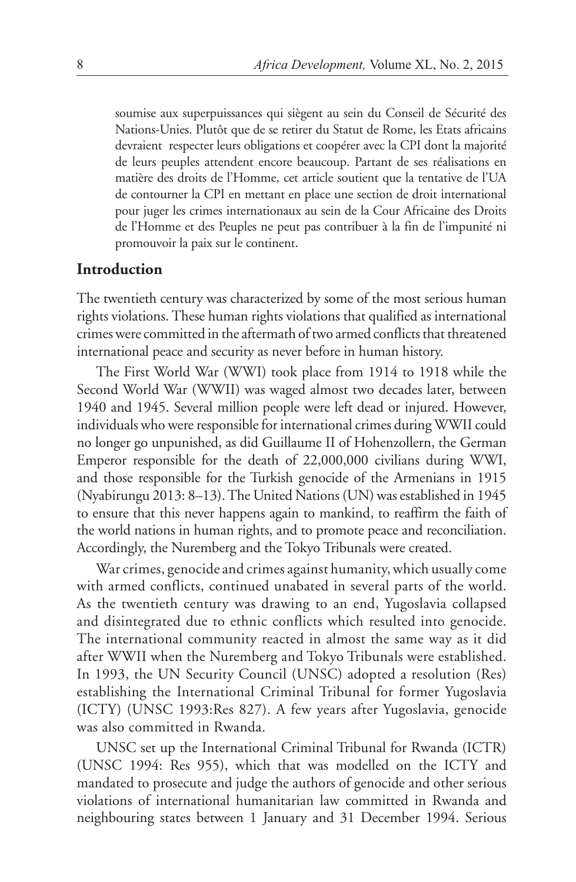soumise aux superpuissances qui siègent au sein du Conseil de Sécurité des Nations-Unies. Plutôt que de se retirer du Statut de Rome, les Etats africains devraient respecter leurs obligations et coopérer avec la CPI dont la majorité de leurs peuples attendent encore beaucoup. Partant de ses réalisations en matière des droits de l'Homme, cet article soutient que la tentative de l'UA de contourner la CPI en mettant en place une section de droit international pour juger les crimes internationaux au sein de la Cour Africaine des Droits de l'Homme et des Peuples ne peut pas contribuer à la fin de l'impunité ni promouvoir la paix sur le continent.

### **Introduction**

The twentieth century was characterized by some of the most serious human rights violations. These human rights violations that qualified as international crimes were committed in the aftermath of two armed conflicts that threatened international peace and security as never before in human history.

The First World War (WWI) took place from 1914 to 1918 while the Second World War (WWII) was waged almost two decades later, between 1940 and 1945. Several million people were left dead or injured. However, individuals who were responsible for international crimes during WWII could no longer go unpunished, as did Guillaume II of Hohenzollern, the German Emperor responsible for the death of 22,000,000 civilians during WWI, and those responsible for the Turkish genocide of the Armenians in 1915 (Nyabirungu 2013: 8–13). The United Nations (UN) was established in 1945 to ensure that this never happens again to mankind, to reaffirm the faith of the world nations in human rights, and to promote peace and reconciliation. Accordingly, the Nuremberg and the Tokyo Tribunals were created.

War crimes, genocide and crimes against humanity, which usually come with armed conflicts, continued unabated in several parts of the world. As the twentieth century was drawing to an end, Yugoslavia collapsed and disintegrated due to ethnic conflicts which resulted into genocide. The international community reacted in almost the same way as it did after WWII when the Nuremberg and Tokyo Tribunals were established. In 1993, the UN Security Council (UNSC) adopted a resolution (Res) establishing the International Criminal Tribunal for former Yugoslavia (ICTY) (UNSC 1993:Res 827). A few years after Yugoslavia, genocide was also committed in Rwanda.

UNSC set up the International Criminal Tribunal for Rwanda (ICTR) (UNSC 1994: Res 955), which that was modelled on the ICTY and mandated to prosecute and judge the authors of genocide and other serious violations of international humanitarian law committed in Rwanda and neighbouring states between 1 January and 31 December 1994. Serious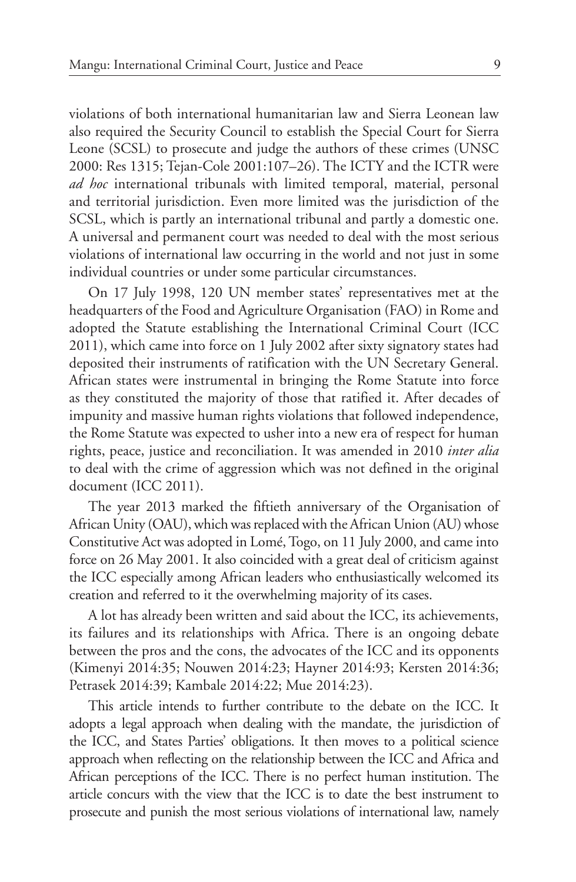violations of both international humanitarian law and Sierra Leonean law also required the Security Council to establish the Special Court for Sierra Leone (SCSL) to prosecute and judge the authors of these crimes (UNSC 2000: Res 1315; Tejan-Cole 2001:107–26). The ICTY and the ICTR were *ad hoc* international tribunals with limited temporal, material, personal and territorial jurisdiction. Even more limited was the jurisdiction of the SCSL, which is partly an international tribunal and partly a domestic one. A universal and permanent court was needed to deal with the most serious violations of international law occurring in the world and not just in some individual countries or under some particular circumstances.

On 17 July 1998, 120 UN member states' representatives met at the headquarters of the Food and Agriculture Organisation (FAO) in Rome and adopted the Statute establishing the International Criminal Court (ICC 2011), which came into force on 1 July 2002 after sixty signatory states had deposited their instruments of ratification with the UN Secretary General. African states were instrumental in bringing the Rome Statute into force as they constituted the majority of those that ratified it. After decades of impunity and massive human rights violations that followed independence, the Rome Statute was expected to usher into a new era of respect for human rights, peace, justice and reconciliation. It was amended in 2010 *inter alia*  to deal with the crime of aggression which was not defined in the original document (ICC 2011).

The year 2013 marked the fiftieth anniversary of the Organisation of African Unity (OAU), which was replaced with the African Union (AU) whose Constitutive Act was adopted in Lomé, Togo, on 11 July 2000, and came into force on 26 May 2001. It also coincided with a great deal of criticism against the ICC especially among African leaders who enthusiastically welcomed its creation and referred to it the overwhelming majority of its cases.

A lot has already been written and said about the ICC, its achievements, its failures and its relationships with Africa. There is an ongoing debate between the pros and the cons, the advocates of the ICC and its opponents (Kimenyi 2014:35; Nouwen 2014:23; Hayner 2014:93; Kersten 2014:36; Petrasek 2014:39; Kambale 2014:22; Mue 2014:23).

This article intends to further contribute to the debate on the ICC. It adopts a legal approach when dealing with the mandate, the jurisdiction of the ICC, and States Parties' obligations. It then moves to a political science approach when reflecting on the relationship between the ICC and Africa and African perceptions of the ICC. There is no perfect human institution. The article concurs with the view that the ICC is to date the best instrument to prosecute and punish the most serious violations of international law, namely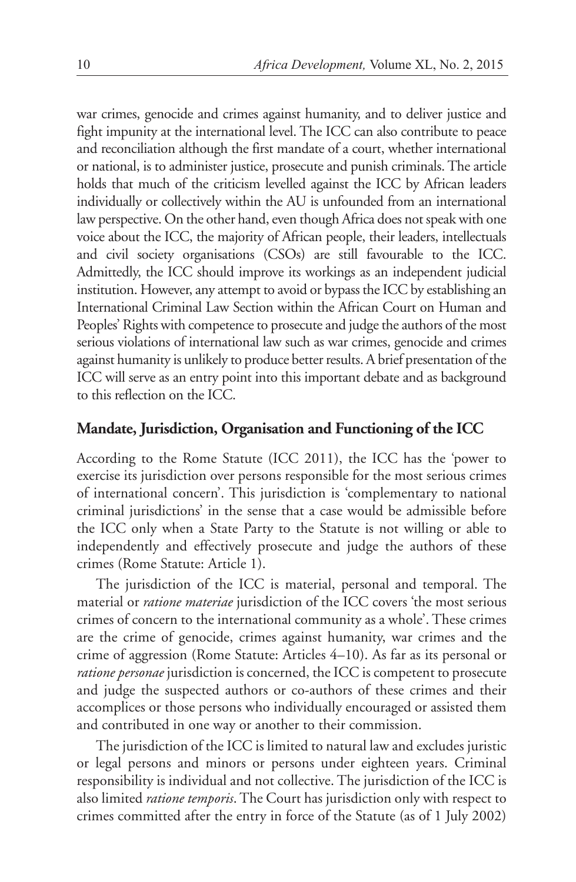war crimes, genocide and crimes against humanity, and to deliver justice and fight impunity at the international level. The ICC can also contribute to peace and reconciliation although the first mandate of a court, whether international or national, is to administer justice, prosecute and punish criminals. The article holds that much of the criticism levelled against the ICC by African leaders individually or collectively within the AU is unfounded from an international law perspective. On the other hand, even though Africa does not speak with one voice about the ICC, the majority of African people, their leaders, intellectuals and civil society organisations (CSOs) are still favourable to the ICC. Admittedly, the ICC should improve its workings as an independent judicial institution. However, any attempt to avoid or bypass the ICC by establishing an International Criminal Law Section within the African Court on Human and Peoples' Rights with competence to prosecute and judge the authors of the most serious violations of international law such as war crimes, genocide and crimes against humanity is unlikely to produce better results. A brief presentation of the ICC will serve as an entry point into this important debate and as background to this reflection on the ICC.

#### **Mandate, Jurisdiction, Organisation and Functioning of the ICC**

According to the Rome Statute (ICC 2011), the ICC has the 'power to exercise its jurisdiction over persons responsible for the most serious crimes of international concern'. This jurisdiction is 'complementary to national criminal jurisdictions' in the sense that a case would be admissible before the ICC only when a State Party to the Statute is not willing or able to independently and effectively prosecute and judge the authors of these crimes (Rome Statute: Article 1).

The jurisdiction of the ICC is material, personal and temporal. The material or *ratione materiae* jurisdiction of the ICC covers 'the most serious crimes of concern to the international community as a whole'. These crimes are the crime of genocide, crimes against humanity, war crimes and the crime of aggression (Rome Statute: Articles 4–10). As far as its personal or *ratione personae* jurisdiction is concerned, the ICC is competent to prosecute and judge the suspected authors or co-authors of these crimes and their accomplices or those persons who individually encouraged or assisted them and contributed in one way or another to their commission.

The jurisdiction of the ICC is limited to natural law and excludes juristic or legal persons and minors or persons under eighteen years. Criminal responsibility is individual and not collective. The jurisdiction of the ICC is also limited *ratione temporis*. The Court has jurisdiction only with respect to crimes committed after the entry in force of the Statute (as of 1 July 2002)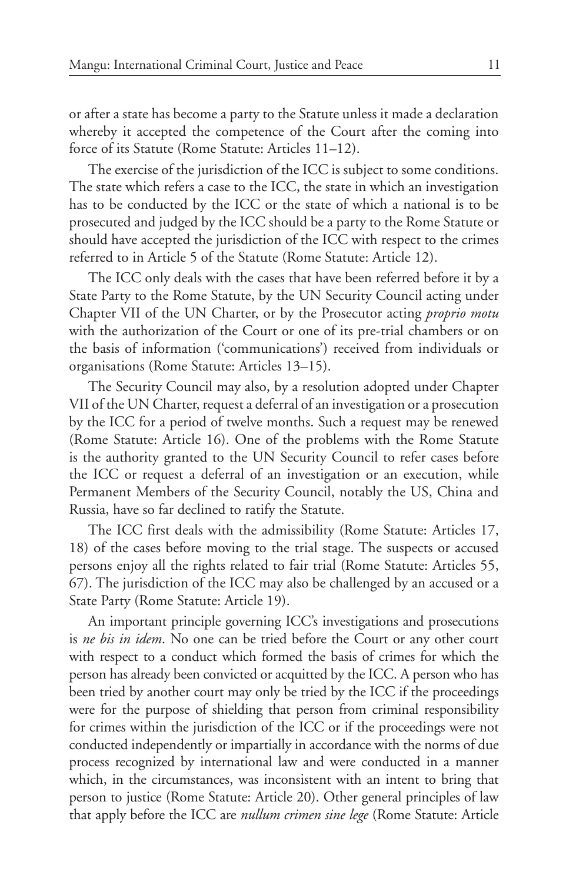or after a state has become a party to the Statute unless it made a declaration whereby it accepted the competence of the Court after the coming into force of its Statute (Rome Statute: Articles 11–12).

The exercise of the jurisdiction of the ICC is subject to some conditions. The state which refers a case to the ICC, the state in which an investigation has to be conducted by the ICC or the state of which a national is to be prosecuted and judged by the ICC should be a party to the Rome Statute or should have accepted the jurisdiction of the ICC with respect to the crimes referred to in Article 5 of the Statute (Rome Statute: Article 12).

The ICC only deals with the cases that have been referred before it by a State Party to the Rome Statute, by the UN Security Council acting under Chapter VII of the UN Charter, or by the Prosecutor acting *proprio motu* with the authorization of the Court or one of its pre-trial chambers or on the basis of information ('communications') received from individuals or organisations (Rome Statute: Articles 13–15).

The Security Council may also, by a resolution adopted under Chapter VII of the UN Charter, request a deferral of an investigation or a prosecution by the ICC for a period of twelve months. Such a request may be renewed (Rome Statute: Article 16). One of the problems with the Rome Statute is the authority granted to the UN Security Council to refer cases before the ICC or request a deferral of an investigation or an execution, while Permanent Members of the Security Council, notably the US, China and Russia, have so far declined to ratify the Statute.

The ICC first deals with the admissibility (Rome Statute: Articles 17, 18) of the cases before moving to the trial stage. The suspects or accused persons enjoy all the rights related to fair trial (Rome Statute: Articles 55, 67). The jurisdiction of the ICC may also be challenged by an accused or a State Party (Rome Statute: Article 19).

An important principle governing ICC's investigations and prosecutions is *ne bis in idem*. No one can be tried before the Court or any other court with respect to a conduct which formed the basis of crimes for which the person has already been convicted or acquitted by the ICC. A person who has been tried by another court may only be tried by the ICC if the proceedings were for the purpose of shielding that person from criminal responsibility for crimes within the jurisdiction of the ICC or if the proceedings were not conducted independently or impartially in accordance with the norms of due process recognized by international law and were conducted in a manner which, in the circumstances, was inconsistent with an intent to bring that person to justice (Rome Statute: Article 20). Other general principles of law that apply before the ICC are *nullum crimen sine lege* (Rome Statute: Article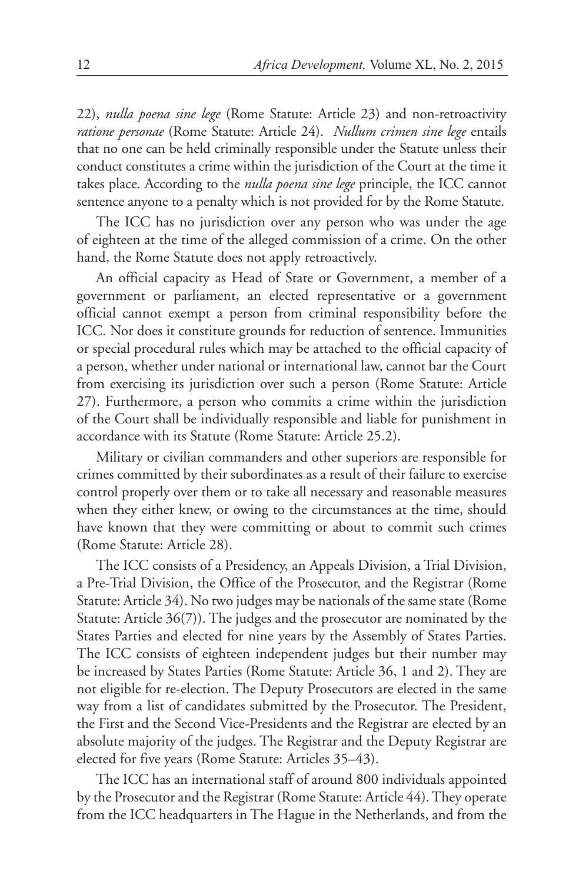22), *nulla poena sine lege* (Rome Statute: Article 23) and non-retroactivity *ratione personae* (Rome Statute: Article 24). *Nullum crimen sine lege* entails that no one can be held criminally responsible under the Statute unless their conduct constitutes a crime within the jurisdiction of the Court at the time it takes place. According to the *nulla poena sine lege* principle, the ICC cannot sentence anyone to a penalty which is not provided for by the Rome Statute.

The ICC has no jurisdiction over any person who was under the age of eighteen at the time of the alleged commission of a crime. On the other hand, the Rome Statute does not apply retroactively.

An official capacity as Head of State or Government, a member of a government or parliament, an elected representative or a government official cannot exempt a person from criminal responsibility before the ICC. Nor does it constitute grounds for reduction of sentence. Immunities or special procedural rules which may be attached to the official capacity of a person, whether under national or international law, cannot bar the Court from exercising its jurisdiction over such a person (Rome Statute: Article 27). Furthermore, a person who commits a crime within the jurisdiction of the Court shall be individually responsible and liable for punishment in accordance with its Statute (Rome Statute: Article 25.2).

Military or civilian commanders and other superiors are responsible for crimes committed by their subordinates as a result of their failure to exercise control properly over them or to take all necessary and reasonable measures when they either knew, or owing to the circumstances at the time, should have known that they were committing or about to commit such crimes (Rome Statute: Article 28).

The ICC consists of a Presidency, an Appeals Division, a Trial Division, a Pre-Trial Division, the Office of the Prosecutor, and the Registrar (Rome Statute: Article 34). No two judges may be nationals of the same state (Rome Statute: Article 36(7)). The judges and the prosecutor are nominated by the States Parties and elected for nine years by the Assembly of States Parties. The ICC consists of eighteen independent judges but their number may be increased by States Parties (Rome Statute: Article 36, 1 and 2). They are not eligible for re-election. The Deputy Prosecutors are elected in the same way from a list of candidates submitted by the Prosecutor. The President, the First and the Second Vice-Presidents and the Registrar are elected by an absolute majority of the judges. The Registrar and the Deputy Registrar are elected for five years (Rome Statute: Articles 35–43).

The ICC has an international staff of around 800 individuals appointed by the Prosecutor and the Registrar (Rome Statute: Article 44). They operate from the ICC headquarters in The Hague in the Netherlands, and from the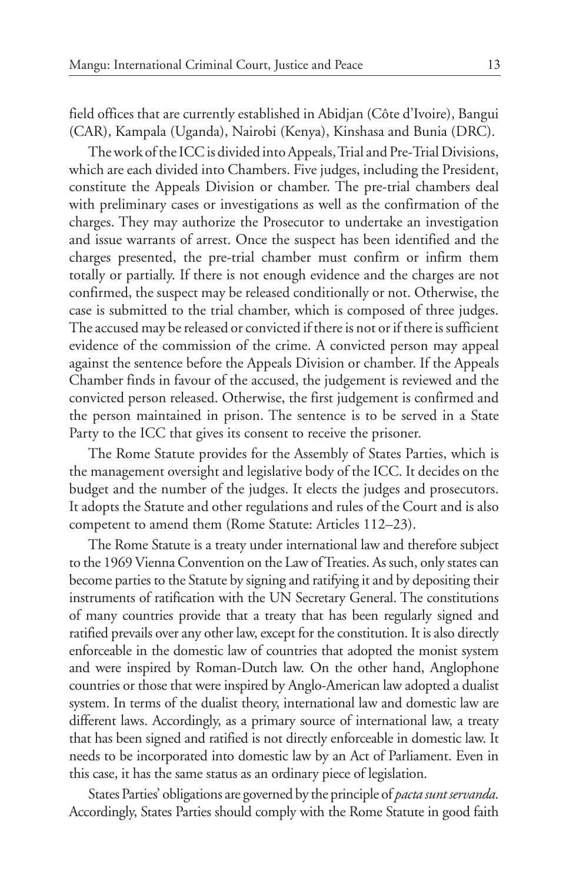field offices that are currently established in Abidjan (Côte d'Ivoire), Bangui (CAR), Kampala (Uganda), Nairobi (Kenya), Kinshasa and Bunia (DRC).

The work of the ICC is divided into Appeals, Trial and Pre-Trial Divisions, which are each divided into Chambers. Five judges, including the President, constitute the Appeals Division or chamber. The pre-trial chambers deal with preliminary cases or investigations as well as the confirmation of the charges. They may authorize the Prosecutor to undertake an investigation and issue warrants of arrest. Once the suspect has been identified and the charges presented, the pre-trial chamber must confirm or infirm them totally or partially. If there is not enough evidence and the charges are not confirmed, the suspect may be released conditionally or not. Otherwise, the case is submitted to the trial chamber, which is composed of three judges. The accused may be released or convicted if there is not or if there is sufficient evidence of the commission of the crime. A convicted person may appeal against the sentence before the Appeals Division or chamber. If the Appeals Chamber finds in favour of the accused, the judgement is reviewed and the convicted person released. Otherwise, the first judgement is confirmed and the person maintained in prison. The sentence is to be served in a State Party to the ICC that gives its consent to receive the prisoner.

The Rome Statute provides for the Assembly of States Parties, which is the management oversight and legislative body of the ICC. It decides on the budget and the number of the judges. It elects the judges and prosecutors. It adopts the Statute and other regulations and rules of the Court and is also competent to amend them (Rome Statute: Articles 112–23).

The Rome Statute is a treaty under international law and therefore subject to the 1969 Vienna Convention on the Law of Treaties. As such, only states can become parties to the Statute by signing and ratifying it and by depositing their instruments of ratification with the UN Secretary General. The constitutions of many countries provide that a treaty that has been regularly signed and ratified prevails over any other law, except for the constitution. It is also directly enforceable in the domestic law of countries that adopted the monist system and were inspired by Roman-Dutch law. On the other hand, Anglophone countries or those that were inspired by Anglo-American law adopted a dualist system. In terms of the dualist theory, international law and domestic law are different laws. Accordingly, as a primary source of international law, a treaty that has been signed and ratified is not directly enforceable in domestic law. It needs to be incorporated into domestic law by an Act of Parliament. Even in this case, it has the same status as an ordinary piece of legislation.

States Parties' obligations are governed by the principle of *pacta sunt servanda*. Accordingly, States Parties should comply with the Rome Statute in good faith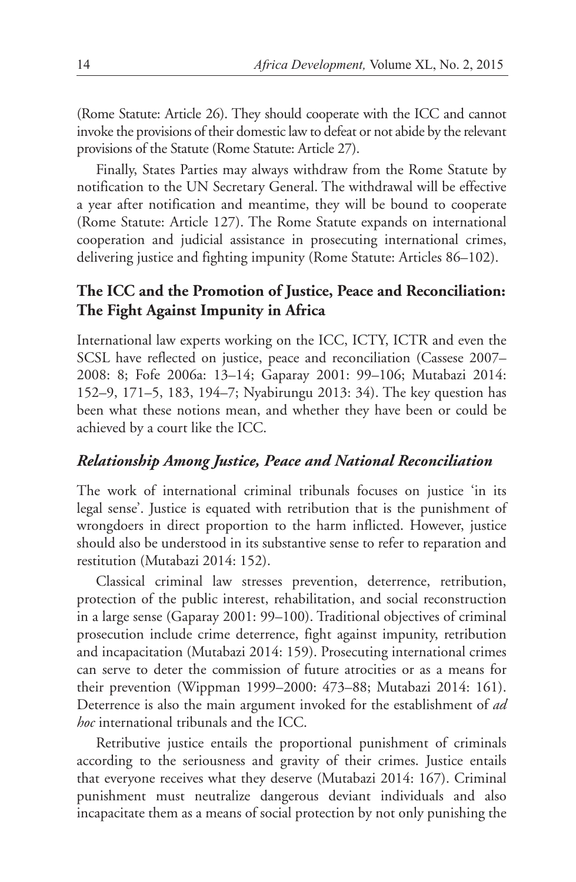(Rome Statute: Article 26). They should cooperate with the ICC and cannot invoke the provisions of their domestic law to defeat or not abide by the relevant provisions of the Statute (Rome Statute: Article 27).

Finally, States Parties may always withdraw from the Rome Statute by notification to the UN Secretary General. The withdrawal will be effective a year after notification and meantime, they will be bound to cooperate (Rome Statute: Article 127). The Rome Statute expands on international cooperation and judicial assistance in prosecuting international crimes, delivering justice and fighting impunity (Rome Statute: Articles 86–102).

# **The ICC and the Promotion of Justice, Peace and Reconciliation: The Fight Against Impunity in Africa**

International law experts working on the ICC, ICTY, ICTR and even the SCSL have reflected on justice, peace and reconciliation (Cassese 2007– 2008: 8; Fofe 2006a: 13–14; Gaparay 2001: 99–106; Mutabazi 2014: 152–9, 171–5, 183, 194–7; Nyabirungu 2013: 34). The key question has been what these notions mean, and whether they have been or could be achieved by a court like the ICC.

# *Relationship Among Justice, Peace and National Reconciliation*

The work of international criminal tribunals focuses on justice 'in its legal sense'. Justice is equated with retribution that is the punishment of wrongdoers in direct proportion to the harm inflicted. However, justice should also be understood in its substantive sense to refer to reparation and restitution (Mutabazi 2014: 152).

Classical criminal law stresses prevention, deterrence, retribution, protection of the public interest, rehabilitation, and social reconstruction in a large sense (Gaparay 2001: 99–100). Traditional objectives of criminal prosecution include crime deterrence, fight against impunity, retribution and incapacitation (Mutabazi 2014: 159). Prosecuting international crimes can serve to deter the commission of future atrocities or as a means for their prevention (Wippman 1999–2000: 473–88; Mutabazi 2014: 161). Deterrence is also the main argument invoked for the establishment of *ad hoc* international tribunals and the ICC.

Retributive justice entails the proportional punishment of criminals according to the seriousness and gravity of their crimes. Justice entails that everyone receives what they deserve (Mutabazi 2014: 167). Criminal punishment must neutralize dangerous deviant individuals and also incapacitate them as a means of social protection by not only punishing the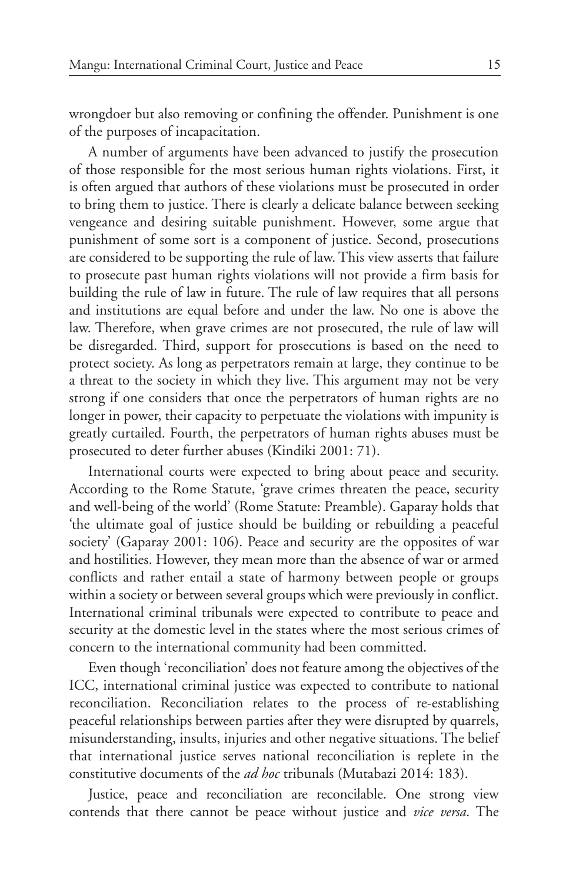wrongdoer but also removing or confining the offender. Punishment is one of the purposes of incapacitation.

A number of arguments have been advanced to justify the prosecution of those responsible for the most serious human rights violations. First, it is often argued that authors of these violations must be prosecuted in order to bring them to justice. There is clearly a delicate balance between seeking vengeance and desiring suitable punishment. However, some argue that punishment of some sort is a component of justice. Second, prosecutions are considered to be supporting the rule of law. This view asserts that failure to prosecute past human rights violations will not provide a firm basis for building the rule of law in future. The rule of law requires that all persons and institutions are equal before and under the law. No one is above the law. Therefore, when grave crimes are not prosecuted, the rule of law will be disregarded. Third, support for prosecutions is based on the need to protect society. As long as perpetrators remain at large, they continue to be a threat to the society in which they live. This argument may not be very strong if one considers that once the perpetrators of human rights are no longer in power, their capacity to perpetuate the violations with impunity is greatly curtailed. Fourth, the perpetrators of human rights abuses must be prosecuted to deter further abuses (Kindiki 2001: 71).

International courts were expected to bring about peace and security. According to the Rome Statute, 'grave crimes threaten the peace, security and well-being of the world' (Rome Statute: Preamble). Gaparay holds that 'the ultimate goal of justice should be building or rebuilding a peaceful society' (Gaparay 2001: 106). Peace and security are the opposites of war and hostilities. However, they mean more than the absence of war or armed conflicts and rather entail a state of harmony between people or groups within a society or between several groups which were previously in conflict. International criminal tribunals were expected to contribute to peace and security at the domestic level in the states where the most serious crimes of concern to the international community had been committed.

Even though 'reconciliation' does not feature among the objectives of the ICC, international criminal justice was expected to contribute to national reconciliation. Reconciliation relates to the process of re-establishing peaceful relationships between parties after they were disrupted by quarrels, misunderstanding, insults, injuries and other negative situations. The belief that international justice serves national reconciliation is replete in the constitutive documents of the *ad hoc* tribunals (Mutabazi 2014: 183).

Justice, peace and reconciliation are reconcilable. One strong view contends that there cannot be peace without justice and *vice versa*. The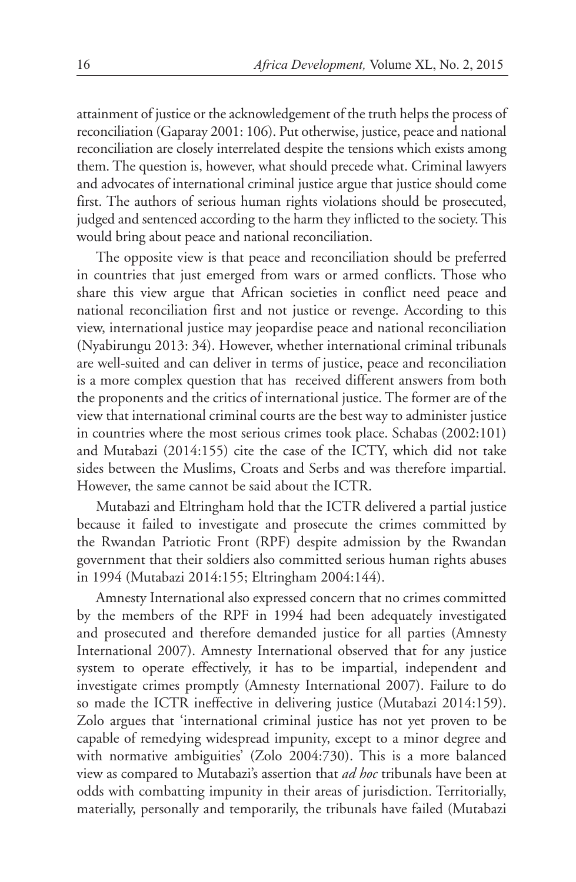attainment of justice or the acknowledgement of the truth helps the process of reconciliation (Gaparay 2001: 106). Put otherwise, justice, peace and national reconciliation are closely interrelated despite the tensions which exists among them. The question is, however, what should precede what. Criminal lawyers and advocates of international criminal justice argue that justice should come first. The authors of serious human rights violations should be prosecuted, judged and sentenced according to the harm they inflicted to the society. This would bring about peace and national reconciliation.

The opposite view is that peace and reconciliation should be preferred in countries that just emerged from wars or armed conflicts. Those who share this view argue that African societies in conflict need peace and national reconciliation first and not justice or revenge. According to this view, international justice may jeopardise peace and national reconciliation (Nyabirungu 2013: 34). However, whether international criminal tribunals are well-suited and can deliver in terms of justice, peace and reconciliation is a more complex question that has received different answers from both the proponents and the critics of international justice. The former are of the view that international criminal courts are the best way to administer justice in countries where the most serious crimes took place. Schabas (2002:101) and Mutabazi (2014:155) cite the case of the ICTY, which did not take sides between the Muslims, Croats and Serbs and was therefore impartial. However, the same cannot be said about the ICTR.

Mutabazi and Eltringham hold that the ICTR delivered a partial justice because it failed to investigate and prosecute the crimes committed by the Rwandan Patriotic Front (RPF) despite admission by the Rwandan government that their soldiers also committed serious human rights abuses in 1994 (Mutabazi 2014:155; Eltringham 2004:144).

Amnesty International also expressed concern that no crimes committed by the members of the RPF in 1994 had been adequately investigated and prosecuted and therefore demanded justice for all parties (Amnesty International 2007). Amnesty International observed that for any justice system to operate effectively, it has to be impartial, independent and investigate crimes promptly (Amnesty International 2007). Failure to do so made the ICTR ineffective in delivering justice (Mutabazi 2014:159). Zolo argues that 'international criminal justice has not yet proven to be capable of remedying widespread impunity, except to a minor degree and with normative ambiguities' (Zolo 2004:730). This is a more balanced view as compared to Mutabazi's assertion that *ad hoc* tribunals have been at odds with combatting impunity in their areas of jurisdiction. Territorially, materially, personally and temporarily, the tribunals have failed (Mutabazi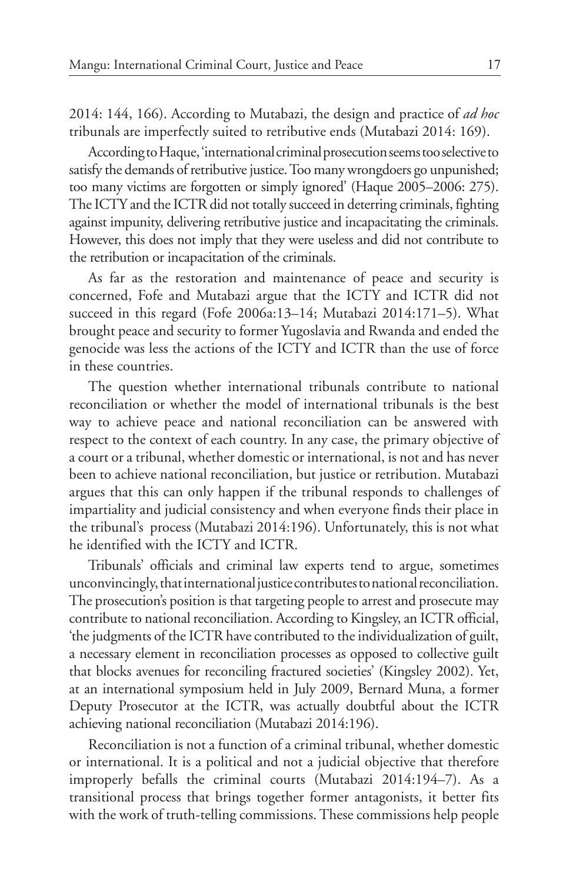2014: 144, 166). According to Mutabazi, the design and practice of *ad hoc*  tribunals are imperfectly suited to retributive ends (Mutabazi 2014: 169).

According to Haque, 'international criminal prosecution seems too selective to satisfy the demands of retributive justice. Too many wrongdoers go unpunished; too many victims are forgotten or simply ignored' (Haque 2005–2006: 275). The ICTY and the ICTR did not totally succeed in deterring criminals, fighting against impunity, delivering retributive justice and incapacitating the criminals. However, this does not imply that they were useless and did not contribute to the retribution or incapacitation of the criminals.

As far as the restoration and maintenance of peace and security is concerned, Fofe and Mutabazi argue that the ICTY and ICTR did not succeed in this regard (Fofe 2006a:13–14; Mutabazi 2014:171–5). What brought peace and security to former Yugoslavia and Rwanda and ended the genocide was less the actions of the ICTY and ICTR than the use of force in these countries.

The question whether international tribunals contribute to national reconciliation or whether the model of international tribunals is the best way to achieve peace and national reconciliation can be answered with respect to the context of each country. In any case, the primary objective of a court or a tribunal, whether domestic or international, is not and has never been to achieve national reconciliation, but justice or retribution. Mutabazi argues that this can only happen if the tribunal responds to challenges of impartiality and judicial consistency and when everyone finds their place in the tribunal's process (Mutabazi 2014:196). Unfortunately, this is not what he identified with the ICTY and ICTR.

Tribunals' officials and criminal law experts tend to argue, sometimes unconvincingly, that international justice contributes to national reconciliation. The prosecution's position is that targeting people to arrest and prosecute may contribute to national reconciliation. According to Kingsley, an ICTR official, 'the judgments of the ICTR have contributed to the individualization of guilt, a necessary element in reconciliation processes as opposed to collective guilt that blocks avenues for reconciling fractured societies' (Kingsley 2002). Yet, at an international symposium held in July 2009, Bernard Muna, a former Deputy Prosecutor at the ICTR, was actually doubtful about the ICTR achieving national reconciliation (Mutabazi 2014:196).

Reconciliation is not a function of a criminal tribunal, whether domestic or international. It is a political and not a judicial objective that therefore improperly befalls the criminal courts (Mutabazi 2014:194–7). As a transitional process that brings together former antagonists, it better fits with the work of truth-telling commissions. These commissions help people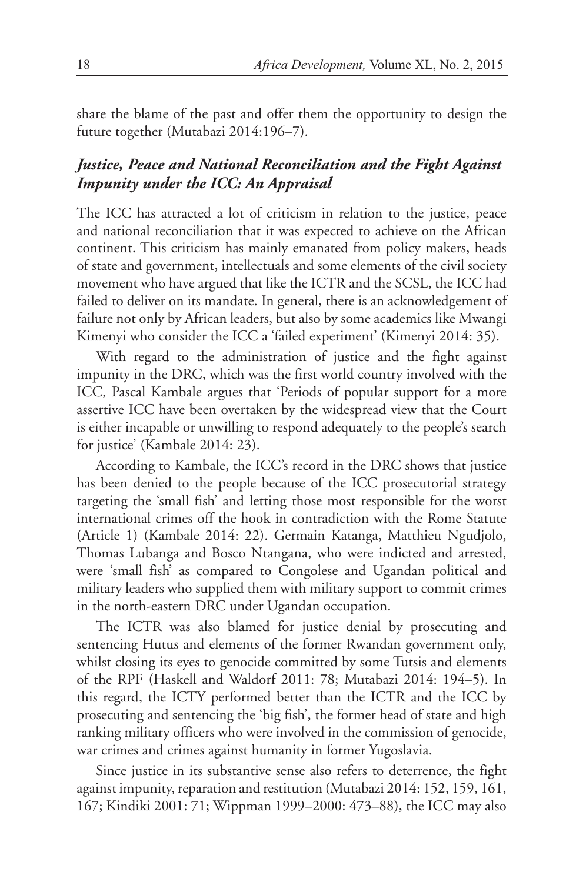share the blame of the past and offer them the opportunity to design the future together (Mutabazi 2014:196–7).

# *Justice, Peace and National Reconciliation and the Fight Against Impunity under the ICC: An Appraisal*

The ICC has attracted a lot of criticism in relation to the justice, peace and national reconciliation that it was expected to achieve on the African continent. This criticism has mainly emanated from policy makers, heads of state and government, intellectuals and some elements of the civil society movement who have argued that like the ICTR and the SCSL, the ICC had failed to deliver on its mandate. In general, there is an acknowledgement of failure not only by African leaders, but also by some academics like Mwangi Kimenyi who consider the ICC a 'failed experiment' (Kimenyi 2014: 35).

With regard to the administration of justice and the fight against impunity in the DRC, which was the first world country involved with the ICC, Pascal Kambale argues that 'Periods of popular support for a more assertive ICC have been overtaken by the widespread view that the Court is either incapable or unwilling to respond adequately to the people's search for justice' (Kambale 2014: 23).

According to Kambale, the ICC's record in the DRC shows that justice has been denied to the people because of the ICC prosecutorial strategy targeting the 'small fish' and letting those most responsible for the worst international crimes off the hook in contradiction with the Rome Statute (Article 1) (Kambale 2014: 22). Germain Katanga, Matthieu Ngudjolo, Thomas Lubanga and Bosco Ntangana, who were indicted and arrested, were 'small fish' as compared to Congolese and Ugandan political and military leaders who supplied them with military support to commit crimes in the north-eastern DRC under Ugandan occupation.

The ICTR was also blamed for justice denial by prosecuting and sentencing Hutus and elements of the former Rwandan government only, whilst closing its eyes to genocide committed by some Tutsis and elements of the RPF (Haskell and Waldorf 2011: 78; Mutabazi 2014: 194–5). In this regard, the ICTY performed better than the ICTR and the ICC by prosecuting and sentencing the 'big fish', the former head of state and high ranking military officers who were involved in the commission of genocide, war crimes and crimes against humanity in former Yugoslavia.

Since justice in its substantive sense also refers to deterrence, the fight against impunity, reparation and restitution (Mutabazi 2014: 152, 159, 161, 167; Kindiki 2001: 71; Wippman 1999–2000: 473–88), the ICC may also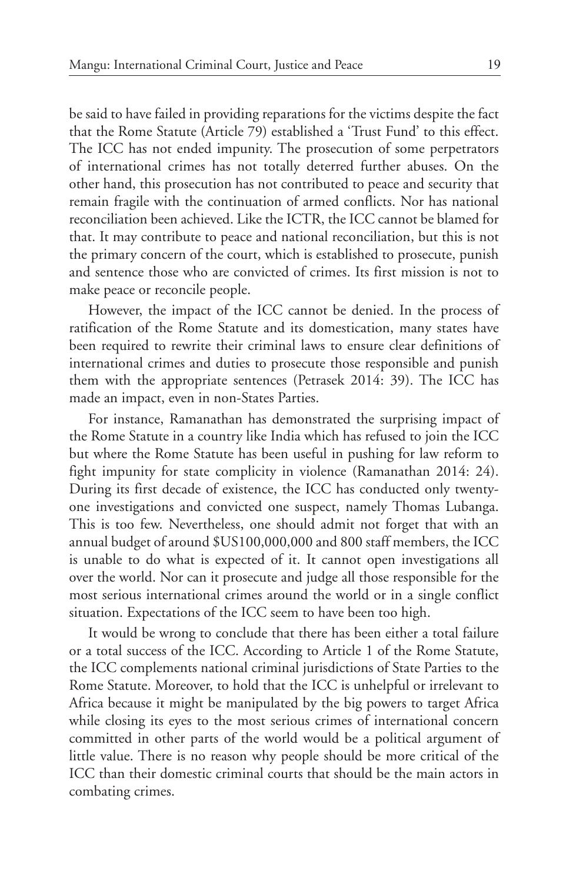be said to have failed in providing reparations for the victims despite the fact that the Rome Statute (Article 79) established a 'Trust Fund' to this effect. The ICC has not ended impunity. The prosecution of some perpetrators of international crimes has not totally deterred further abuses. On the other hand, this prosecution has not contributed to peace and security that remain fragile with the continuation of armed conflicts. Nor has national reconciliation been achieved. Like the ICTR, the ICC cannot be blamed for that. It may contribute to peace and national reconciliation, but this is not the primary concern of the court, which is established to prosecute, punish and sentence those who are convicted of crimes. Its first mission is not to make peace or reconcile people.

However, the impact of the ICC cannot be denied. In the process of ratification of the Rome Statute and its domestication, many states have been required to rewrite their criminal laws to ensure clear definitions of international crimes and duties to prosecute those responsible and punish them with the appropriate sentences (Petrasek 2014: 39). The ICC has made an impact, even in non-States Parties.

For instance, Ramanathan has demonstrated the surprising impact of the Rome Statute in a country like India which has refused to join the ICC but where the Rome Statute has been useful in pushing for law reform to fight impunity for state complicity in violence (Ramanathan 2014: 24). During its first decade of existence, the ICC has conducted only twentyone investigations and convicted one suspect, namely Thomas Lubanga. This is too few. Nevertheless, one should admit not forget that with an annual budget of around \$US100,000,000 and 800 staff members, the ICC is unable to do what is expected of it. It cannot open investigations all over the world. Nor can it prosecute and judge all those responsible for the most serious international crimes around the world or in a single conflict situation. Expectations of the ICC seem to have been too high.

It would be wrong to conclude that there has been either a total failure or a total success of the ICC. According to Article 1 of the Rome Statute, the ICC complements national criminal jurisdictions of State Parties to the Rome Statute. Moreover, to hold that the ICC is unhelpful or irrelevant to Africa because it might be manipulated by the big powers to target Africa while closing its eyes to the most serious crimes of international concern committed in other parts of the world would be a political argument of little value. There is no reason why people should be more critical of the ICC than their domestic criminal courts that should be the main actors in combating crimes.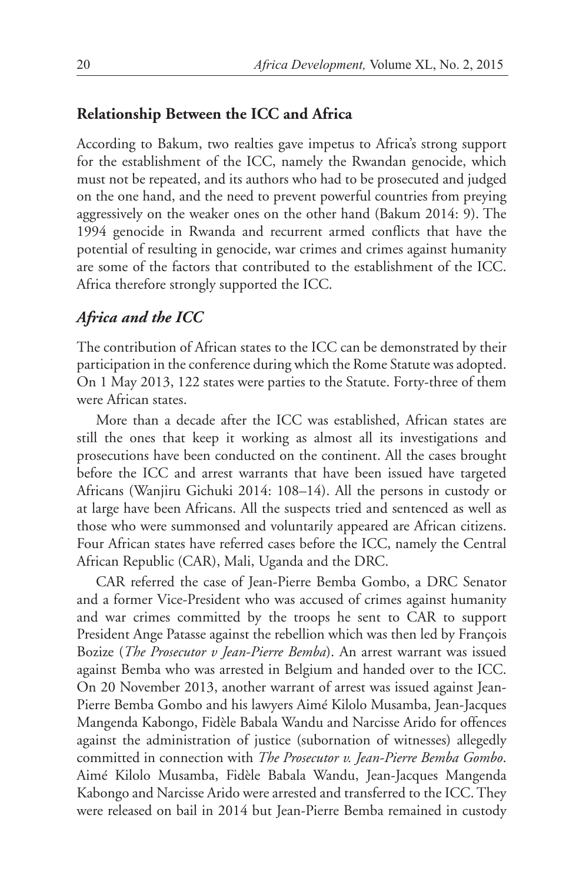# **Relationship Between the ICC and Africa**

According to Bakum, two realties gave impetus to Africa's strong support for the establishment of the ICC, namely the Rwandan genocide, which must not be repeated, and its authors who had to be prosecuted and judged on the one hand, and the need to prevent powerful countries from preying aggressively on the weaker ones on the other hand (Bakum 2014: 9). The 1994 genocide in Rwanda and recurrent armed conflicts that have the potential of resulting in genocide, war crimes and crimes against humanity are some of the factors that contributed to the establishment of the ICC. Africa therefore strongly supported the ICC.

### *Africa and the ICC*

The contribution of African states to the ICC can be demonstrated by their participation in the conference during which the Rome Statute was adopted. On 1 May 2013, 122 states were parties to the Statute. Forty-three of them were African states.

More than a decade after the ICC was established, African states are still the ones that keep it working as almost all its investigations and prosecutions have been conducted on the continent. All the cases brought before the ICC and arrest warrants that have been issued have targeted Africans (Wanjiru Gichuki 2014: 108–14). All the persons in custody or at large have been Africans. All the suspects tried and sentenced as well as those who were summonsed and voluntarily appeared are African citizens. Four African states have referred cases before the ICC, namely the Central African Republic (CAR), Mali, Uganda and the DRC.

CAR referred the case of Jean-Pierre Bemba Gombo, a DRC Senator and a former Vice-President who was accused of crimes against humanity and war crimes committed by the troops he sent to CAR to support President Ange Patasse against the rebellion which was then led by François Bozize (*The Prosecutor v Jean-Pierre Bemba*). An arrest warrant was issued against Bemba who was arrested in Belgium and handed over to the ICC. On 20 November 2013, another warrant of arrest was issued against Jean-Pierre Bemba Gombo and his lawyers Aimé Kilolo Musamba, Jean-Jacques Mangenda Kabongo, Fidèle Babala Wandu and Narcisse Arido for offences against the administration of justice (subornation of witnesses) allegedly committed in connection with *The Prosecutor v. Jean-Pierre Bemba Gombo*. Aimé Kilolo Musamba, Fidèle Babala Wandu, Jean-Jacques Mangenda Kabongo and Narcisse Arido were arrested and transferred to the ICC. They were released on bail in 2014 but Jean-Pierre Bemba remained in custody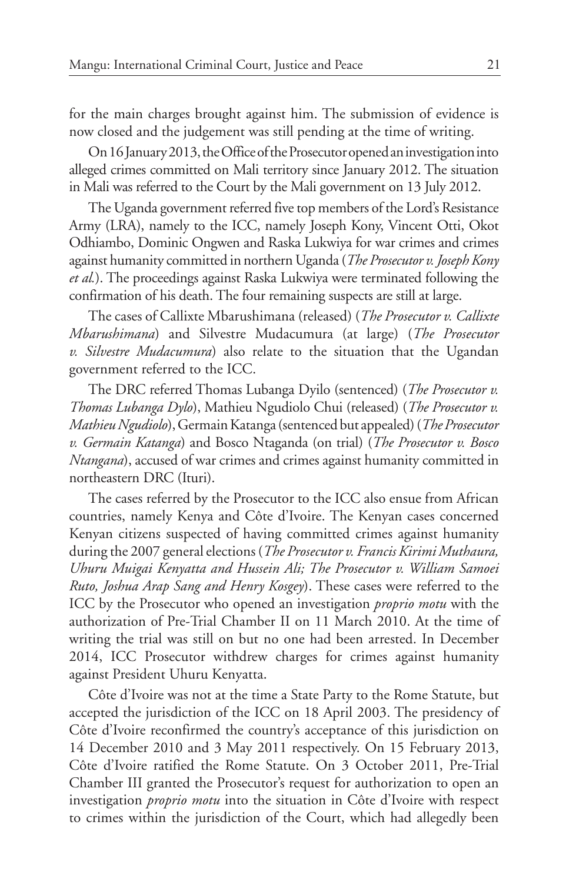for the main charges brought against him. The submission of evidence is now closed and the judgement was still pending at the time of writing.

On 16 January 2013, the Office of the Prosecutor opened an investigationinto alleged crimes committed on Mali territory since January 2012. The situation in Mali was referred to the Court by the Mali government on 13 July 2012.

The Uganda government referred five top members of the Lord's Resistance Army (LRA), namely to the ICC, namely Joseph Kony, Vincent Otti, Okot Odhiambo, Dominic Ongwen and Raska Lukwiya for war crimes and crimes against humanity committed in northern Uganda (*The Prosecutor v. Joseph Kony et al.*). The proceedings against Raska Lukwiya were terminated following the confirmation of his death. The four remaining suspects are still at large.

The cases of Callixte Mbarushimana (released) (*The Prosecutor v. Callixte Mbarushimana*) and Silvestre Mudacumura (at large) (*The Prosecutor v. Silvestre Mudacumura*) also relate to the situation that the Ugandan government referred to the ICC.

The DRC referred Thomas Lubanga Dyilo (sentenced) (*The Prosecutor v. Thomas Lubanga Dylo*), Mathieu Ngudiolo Chui (released) (*The Prosecutor v. Mathieu Ngudiolo*), Germain Katanga (sentenced but appealed) (*The Prosecutor v. Germain Katanga*) and Bosco Ntaganda (on trial) (*The Prosecutor v. Bosco Ntangana*), accused of war crimes and crimes against humanity committed in northeastern DRC (Ituri).

The cases referred by the Prosecutor to the ICC also ensue from African countries, namely Kenya and Côte d'Ivoire. The Kenyan cases concerned Kenyan citizens suspected of having committed crimes against humanity during the 2007 general elections (*The Prosecutor v. Francis Kirimi Muthaura, Uhuru Muigai Kenyatta and Hussein Ali; The Prosecutor v. William Samoei Ruto, Joshua Arap Sang and Henry Kosgey*). These cases were referred to the ICC by the Prosecutor who opened an investigation *proprio motu* with the authorization of Pre-Trial Chamber II on 11 March 2010. At the time of writing the trial was still on but no one had been arrested. In December 2014, ICC Prosecutor withdrew charges for crimes against humanity against President Uhuru Kenyatta.

Côte d'Ivoire was not at the time a State Party to the Rome Statute, but accepted the jurisdiction of the ICC on 18 April 2003. The presidency of Côte d'Ivoire reconfirmed the country's acceptance of this jurisdiction on 14 December 2010 and 3 May 2011 respectively. On 15 February 2013, Côte d'Ivoire ratified the Rome Statute. On 3 October 2011, Pre-Trial Chamber III granted the Prosecutor's request for authorization to open an investigation *proprio motu* into the situation in Côte d'Ivoire with respect to crimes within the jurisdiction of the Court, which had allegedly been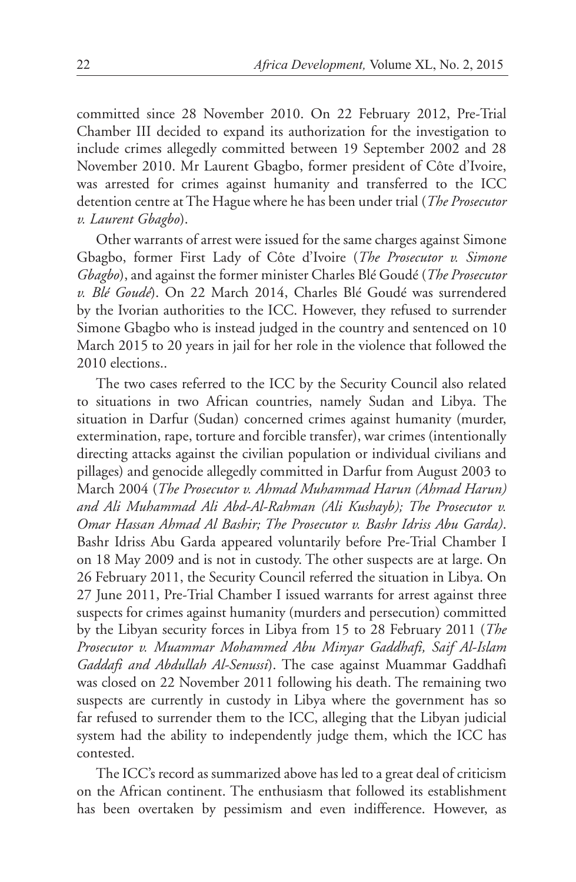committed since 28 November 2010. On 22 February 2012, Pre-Trial Chamber III decided to expand its authorization for the investigation to include crimes allegedly committed between 19 September 2002 and 28 November 2010. Mr Laurent Gbagbo, former president of Côte d'Ivoire, was arrested for crimes against humanity and transferred to the ICC detention centre at The Hague where he has been under trial (*The Prosecutor v. Laurent Gbagbo*).

Other warrants of arrest were issued for the same charges against Simone Gbagbo, former First Lady of Côte d'Ivoire (*The Prosecutor v. Simone Gbagbo*), and against the former minister Charles Blé Goudé (*The Prosecutor v. Blé Goudé*). On 22 March 2014, Charles Blé Goudé was surrendered by the Ivorian authorities to the ICC. However, they refused to surrender Simone Gbagbo who is instead judged in the country and sentenced on 10 March 2015 to 20 years in jail for her role in the violence that followed the 2010 elections..

The two cases referred to the ICC by the Security Council also related to situations in two African countries, namely Sudan and Libya. The situation in Darfur (Sudan) concerned crimes against humanity (murder, extermination, rape, torture and forcible transfer), war crimes (intentionally directing attacks against the civilian population or individual civilians and pillages) and genocide allegedly committed in Darfur from August 2003 to March 2004 (*The Prosecutor v. Ahmad Muhammad Harun (Ahmad Harun) and Ali Muhammad Ali Abd-Al-Rahman (Ali Kushayb); The Prosecutor v. Omar Hassan Ahmad Al Bashir; The Prosecutor v. Bashr Idriss Abu Garda)*. Bashr Idriss Abu Garda appeared voluntarily before Pre-Trial Chamber I on 18 May 2009 and is not in custody. The other suspects are at large. On 26 February 2011, the Security Council referred the situation in Libya. On 27 June 2011, Pre-Trial Chamber I issued warrants for arrest against three suspects for crimes against humanity (murders and persecution) committed by the Libyan security forces in Libya from 15 to 28 February 2011 (*The Prosecutor v. Muammar Mohammed Abu Minyar Gaddhafi, Saif Al-Islam Gaddafi and Abdullah Al-Senussi*). The case against Muammar Gaddhafi was closed on 22 November 2011 following his death. The remaining two suspects are currently in custody in Libya where the government has so far refused to surrender them to the ICC, alleging that the Libyan judicial system had the ability to independently judge them, which the ICC has contested.

The ICC's record as summarized above has led to a great deal of criticism on the African continent. The enthusiasm that followed its establishment has been overtaken by pessimism and even indifference. However, as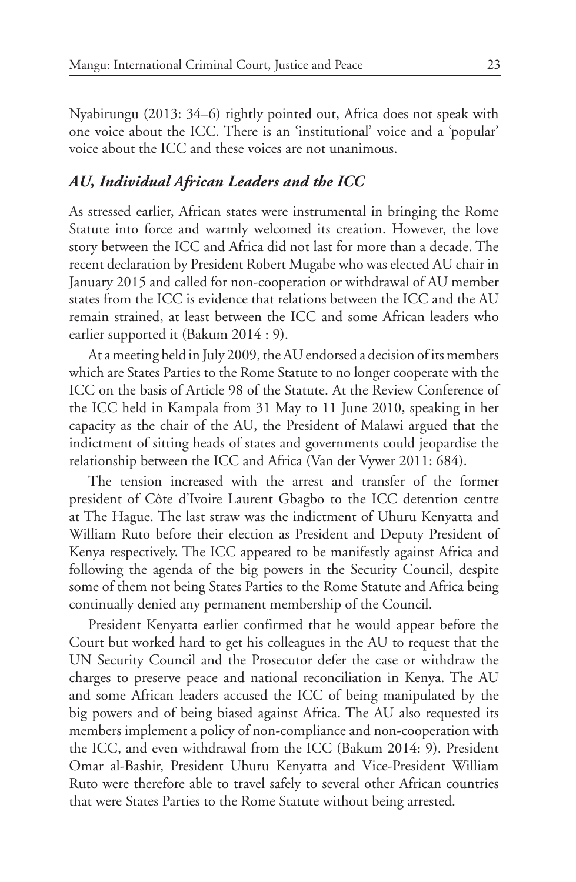Nyabirungu (2013: 34–6) rightly pointed out, Africa does not speak with one voice about the ICC. There is an 'institutional' voice and a 'popular' voice about the ICC and these voices are not unanimous.

# *AU, Individual African Leaders and the ICC*

As stressed earlier, African states were instrumental in bringing the Rome Statute into force and warmly welcomed its creation. However, the love story between the ICC and Africa did not last for more than a decade. The recent declaration by President Robert Mugabe who was elected AU chair in January 2015 and called for non-cooperation or withdrawal of AU member states from the ICC is evidence that relations between the ICC and the AU remain strained, at least between the ICC and some African leaders who earlier supported it (Bakum 2014 : 9).

At a meeting held in July 2009, the AU endorsed a decision of its members which are States Parties to the Rome Statute to no longer cooperate with the ICC on the basis of Article 98 of the Statute. At the Review Conference of the ICC held in Kampala from 31 May to 11 June 2010, speaking in her capacity as the chair of the AU, the President of Malawi argued that the indictment of sitting heads of states and governments could jeopardise the relationship between the ICC and Africa (Van der Vywer 2011: 684).

The tension increased with the arrest and transfer of the former president of Côte d'Ivoire Laurent Gbagbo to the ICC detention centre at The Hague. The last straw was the indictment of Uhuru Kenyatta and William Ruto before their election as President and Deputy President of Kenya respectively. The ICC appeared to be manifestly against Africa and following the agenda of the big powers in the Security Council, despite some of them not being States Parties to the Rome Statute and Africa being continually denied any permanent membership of the Council.

President Kenyatta earlier confirmed that he would appear before the Court but worked hard to get his colleagues in the AU to request that the UN Security Council and the Prosecutor defer the case or withdraw the charges to preserve peace and national reconciliation in Kenya. The AU and some African leaders accused the ICC of being manipulated by the big powers and of being biased against Africa. The AU also requested its members implement a policy of non-compliance and non-cooperation with the ICC, and even withdrawal from the ICC (Bakum 2014: 9). President Omar al-Bashir, President Uhuru Kenyatta and Vice-President William Ruto were therefore able to travel safely to several other African countries that were States Parties to the Rome Statute without being arrested.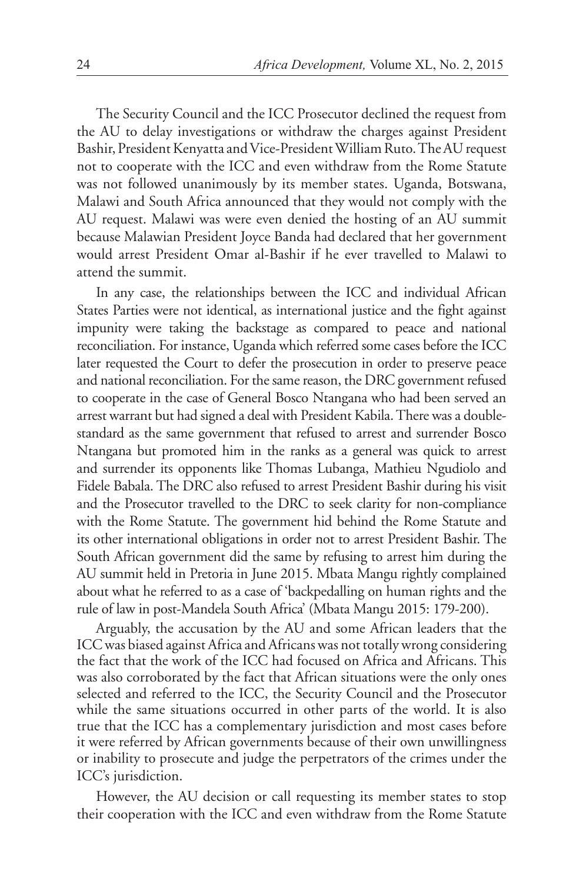The Security Council and the ICC Prosecutor declined the request from the AU to delay investigations or withdraw the charges against President Bashir, President Kenyatta and Vice-President William Ruto. The AU request not to cooperate with the ICC and even withdraw from the Rome Statute was not followed unanimously by its member states. Uganda, Botswana, Malawi and South Africa announced that they would not comply with the AU request. Malawi was were even denied the hosting of an AU summit because Malawian President Joyce Banda had declared that her government would arrest President Omar al-Bashir if he ever travelled to Malawi to attend the summit.

In any case, the relationships between the ICC and individual African States Parties were not identical, as international justice and the fight against impunity were taking the backstage as compared to peace and national reconciliation. For instance, Uganda which referred some cases before the ICC later requested the Court to defer the prosecution in order to preserve peace and national reconciliation. For the same reason, the DRC government refused to cooperate in the case of General Bosco Ntangana who had been served an arrest warrant but had signed a deal with President Kabila. There was a doublestandard as the same government that refused to arrest and surrender Bosco Ntangana but promoted him in the ranks as a general was quick to arrest and surrender its opponents like Thomas Lubanga, Mathieu Ngudiolo and Fidele Babala. The DRC also refused to arrest President Bashir during his visit and the Prosecutor travelled to the DRC to seek clarity for non-compliance with the Rome Statute. The government hid behind the Rome Statute and its other international obligations in order not to arrest President Bashir. The South African government did the same by refusing to arrest him during the AU summit held in Pretoria in June 2015. Mbata Mangu rightly complained about what he referred to as a case of 'backpedalling on human rights and the rule of law in post-Mandela South Africa' (Mbata Mangu 2015: 179-200).

Arguably, the accusation by the AU and some African leaders that the ICC was biased against Africa and Africans was not totally wrong considering the fact that the work of the ICC had focused on Africa and Africans. This was also corroborated by the fact that African situations were the only ones selected and referred to the ICC, the Security Council and the Prosecutor while the same situations occurred in other parts of the world. It is also true that the ICC has a complementary jurisdiction and most cases before it were referred by African governments because of their own unwillingness or inability to prosecute and judge the perpetrators of the crimes under the ICC's jurisdiction.

However, the AU decision or call requesting its member states to stop their cooperation with the ICC and even withdraw from the Rome Statute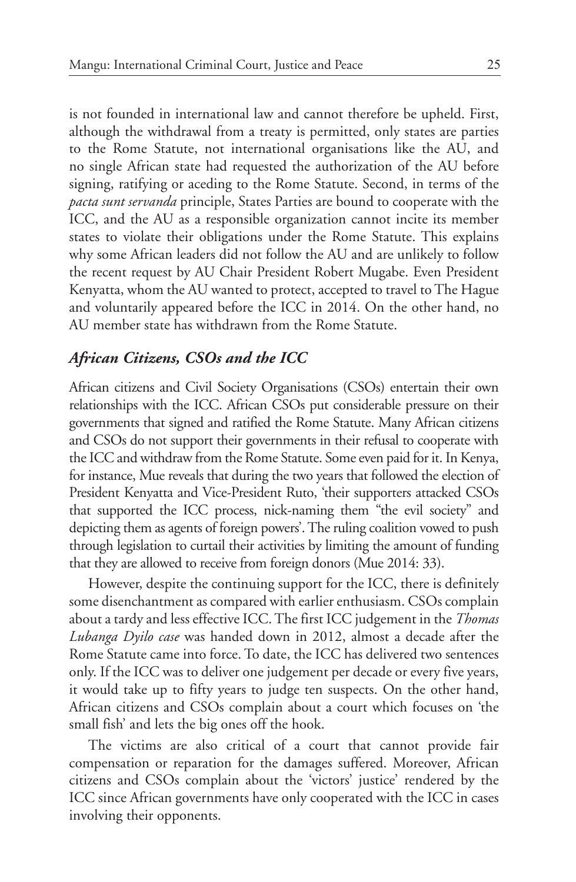is not founded in international law and cannot therefore be upheld. First, although the withdrawal from a treaty is permitted, only states are parties to the Rome Statute, not international organisations like the AU, and no single African state had requested the authorization of the AU before signing, ratifying or aceding to the Rome Statute. Second, in terms of the *pacta sunt servanda* principle, States Parties are bound to cooperate with the ICC, and the AU as a responsible organization cannot incite its member states to violate their obligations under the Rome Statute. This explains why some African leaders did not follow the AU and are unlikely to follow the recent request by AU Chair President Robert Mugabe. Even President Kenyatta, whom the AU wanted to protect, accepted to travel to The Hague and voluntarily appeared before the ICC in 2014. On the other hand, no AU member state has withdrawn from the Rome Statute.

# *African Citizens, CSOs and the ICC*

African citizens and Civil Society Organisations (CSOs) entertain their own relationships with the ICC. African CSOs put considerable pressure on their governments that signed and ratified the Rome Statute. Many African citizens and CSOs do not support their governments in their refusal to cooperate with the ICC and withdraw from the Rome Statute. Some even paid for it. In Kenya, for instance, Mue reveals that during the two years that followed the election of President Kenyatta and Vice-President Ruto, 'their supporters attacked CSOs that supported the ICC process, nick-naming them "the evil society" and depicting them as agents of foreign powers'. The ruling coalition vowed to push through legislation to curtail their activities by limiting the amount of funding that they are allowed to receive from foreign donors (Mue 2014: 33).

However, despite the continuing support for the ICC, there is definitely some disenchantment as compared with earlier enthusiasm. CSOs complain about a tardy and less effective ICC. The first ICC judgement in the *Thomas Lubanga Dyilo case* was handed down in 2012, almost a decade after the Rome Statute came into force. To date, the ICC has delivered two sentences only. If the ICC was to deliver one judgement per decade or every five years, it would take up to fifty years to judge ten suspects. On the other hand, African citizens and CSOs complain about a court which focuses on 'the small fish' and lets the big ones off the hook.

The victims are also critical of a court that cannot provide fair compensation or reparation for the damages suffered. Moreover, African citizens and CSOs complain about the 'victors' justice' rendered by the ICC since African governments have only cooperated with the ICC in cases involving their opponents.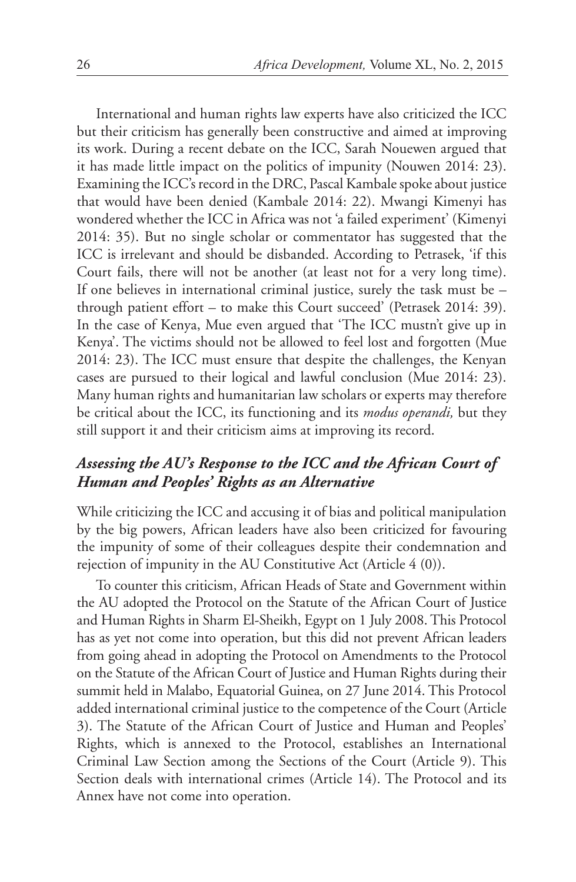International and human rights law experts have also criticized the ICC but their criticism has generally been constructive and aimed at improving its work. During a recent debate on the ICC, Sarah Nouewen argued that it has made little impact on the politics of impunity (Nouwen 2014: 23). Examining the ICC's record in the DRC, Pascal Kambale spoke about justice that would have been denied (Kambale 2014: 22). Mwangi Kimenyi has wondered whether the ICC in Africa was not 'a failed experiment' (Kimenyi 2014: 35). But no single scholar or commentator has suggested that the ICC is irrelevant and should be disbanded. According to Petrasek, 'if this Court fails, there will not be another (at least not for a very long time). If one believes in international criminal justice, surely the task must be – through patient effort – to make this Court succeed' (Petrasek 2014: 39). In the case of Kenya, Mue even argued that 'The ICC mustn't give up in Kenya'. The victims should not be allowed to feel lost and forgotten (Mue 2014: 23). The ICC must ensure that despite the challenges, the Kenyan cases are pursued to their logical and lawful conclusion (Mue 2014: 23). Many human rights and humanitarian law scholars or experts may therefore be critical about the ICC, its functioning and its *modus operandi,* but they still support it and their criticism aims at improving its record.

# *Assessing the AU's Response to the ICC and the African Court of Human and Peoples' Rights as an Alternative*

While criticizing the ICC and accusing it of bias and political manipulation by the big powers, African leaders have also been criticized for favouring the impunity of some of their colleagues despite their condemnation and rejection of impunity in the AU Constitutive Act (Article 4 (0)).

To counter this criticism, African Heads of State and Government within the AU adopted the Protocol on the Statute of the African Court of Justice and Human Rights in Sharm El-Sheikh, Egypt on 1 July 2008. This Protocol has as yet not come into operation, but this did not prevent African leaders from going ahead in adopting the Protocol on Amendments to the Protocol on the Statute of the African Court of Justice and Human Rights during their summit held in Malabo, Equatorial Guinea, on 27 June 2014. This Protocol added international criminal justice to the competence of the Court (Article 3). The Statute of the African Court of Justice and Human and Peoples' Rights, which is annexed to the Protocol, establishes an International Criminal Law Section among the Sections of the Court (Article 9). This Section deals with international crimes (Article 14). The Protocol and its Annex have not come into operation.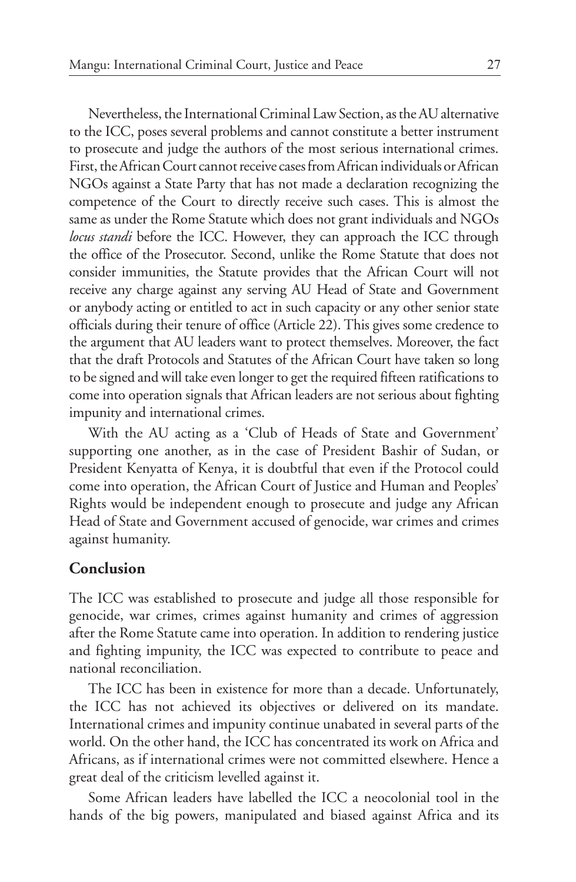Nevertheless, the International Criminal Law Section, as the AU alternative to the ICC, poses several problems and cannot constitute a better instrument to prosecute and judge the authors of the most serious international crimes. First, the African Court cannot receive cases from African individuals or African NGOs against a State Party that has not made a declaration recognizing the competence of the Court to directly receive such cases. This is almost the same as under the Rome Statute which does not grant individuals and NGOs *locus standi* before the ICC. However, they can approach the ICC through the office of the Prosecutor. Second, unlike the Rome Statute that does not consider immunities, the Statute provides that the African Court will not receive any charge against any serving AU Head of State and Government or anybody acting or entitled to act in such capacity or any other senior state officials during their tenure of office (Article 22). This gives some credence to the argument that AU leaders want to protect themselves. Moreover, the fact that the draft Protocols and Statutes of the African Court have taken so long to be signed and will take even longer to get the required fifteen ratifications to come into operation signals that African leaders are not serious about fighting impunity and international crimes.

With the AU acting as a 'Club of Heads of State and Government' supporting one another, as in the case of President Bashir of Sudan, or President Kenyatta of Kenya, it is doubtful that even if the Protocol could come into operation, the African Court of Justice and Human and Peoples' Rights would be independent enough to prosecute and judge any African Head of State and Government accused of genocide, war crimes and crimes against humanity.

### **Conclusion**

The ICC was established to prosecute and judge all those responsible for genocide, war crimes, crimes against humanity and crimes of aggression after the Rome Statute came into operation. In addition to rendering justice and fighting impunity, the ICC was expected to contribute to peace and national reconciliation.

The ICC has been in existence for more than a decade. Unfortunately, the ICC has not achieved its objectives or delivered on its mandate. International crimes and impunity continue unabated in several parts of the world. On the other hand, the ICC has concentrated its work on Africa and Africans, as if international crimes were not committed elsewhere. Hence a great deal of the criticism levelled against it.

Some African leaders have labelled the ICC a neocolonial tool in the hands of the big powers, manipulated and biased against Africa and its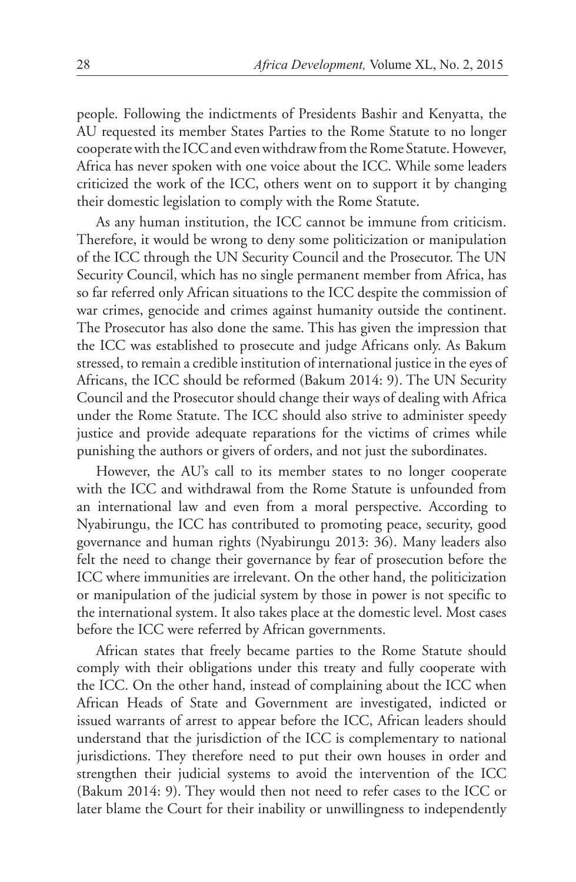people. Following the indictments of Presidents Bashir and Kenyatta, the AU requested its member States Parties to the Rome Statute to no longer cooperate with the ICC and even withdraw from the Rome Statute. However, Africa has never spoken with one voice about the ICC. While some leaders criticized the work of the ICC, others went on to support it by changing their domestic legislation to comply with the Rome Statute.

As any human institution, the ICC cannot be immune from criticism. Therefore, it would be wrong to deny some politicization or manipulation of the ICC through the UN Security Council and the Prosecutor. The UN Security Council, which has no single permanent member from Africa, has so far referred only African situations to the ICC despite the commission of war crimes, genocide and crimes against humanity outside the continent. The Prosecutor has also done the same. This has given the impression that the ICC was established to prosecute and judge Africans only. As Bakum stressed, to remain a credible institution of international justice in the eyes of Africans, the ICC should be reformed (Bakum 2014: 9). The UN Security Council and the Prosecutor should change their ways of dealing with Africa under the Rome Statute. The ICC should also strive to administer speedy justice and provide adequate reparations for the victims of crimes while punishing the authors or givers of orders, and not just the subordinates.

However, the AU's call to its member states to no longer cooperate with the ICC and withdrawal from the Rome Statute is unfounded from an international law and even from a moral perspective. According to Nyabirungu, the ICC has contributed to promoting peace, security, good governance and human rights (Nyabirungu 2013: 36). Many leaders also felt the need to change their governance by fear of prosecution before the ICC where immunities are irrelevant. On the other hand, the politicization or manipulation of the judicial system by those in power is not specific to the international system. It also takes place at the domestic level. Most cases before the ICC were referred by African governments.

African states that freely became parties to the Rome Statute should comply with their obligations under this treaty and fully cooperate with the ICC. On the other hand, instead of complaining about the ICC when African Heads of State and Government are investigated, indicted or issued warrants of arrest to appear before the ICC, African leaders should understand that the jurisdiction of the ICC is complementary to national jurisdictions. They therefore need to put their own houses in order and strengthen their judicial systems to avoid the intervention of the ICC (Bakum 2014: 9). They would then not need to refer cases to the ICC or later blame the Court for their inability or unwillingness to independently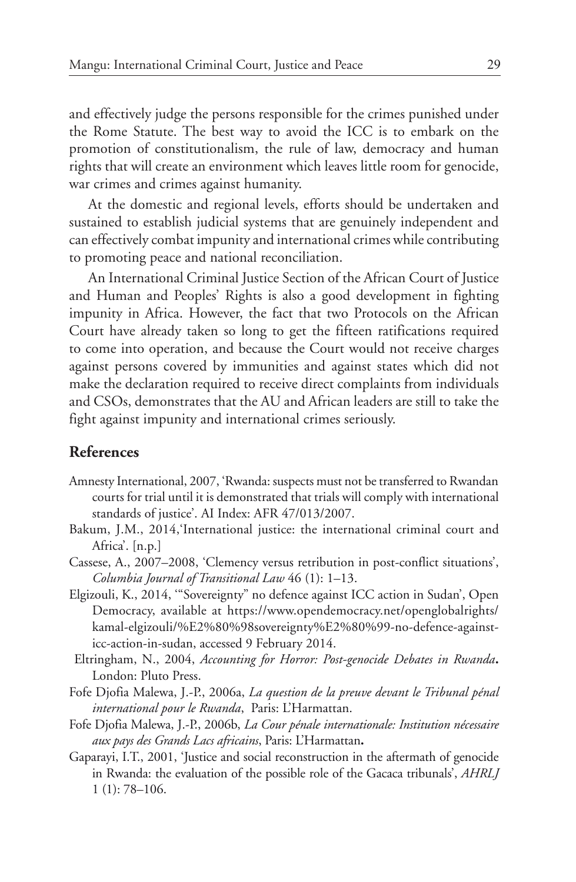and effectively judge the persons responsible for the crimes punished under the Rome Statute. The best way to avoid the ICC is to embark on the promotion of constitutionalism, the rule of law, democracy and human rights that will create an environment which leaves little room for genocide, war crimes and crimes against humanity.

At the domestic and regional levels, efforts should be undertaken and sustained to establish judicial systems that are genuinely independent and can effectively combat impunity and international crimes while contributing to promoting peace and national reconciliation.

An International Criminal Justice Section of the African Court of Justice and Human and Peoples' Rights is also a good development in fighting impunity in Africa. However, the fact that two Protocols on the African Court have already taken so long to get the fifteen ratifications required to come into operation, and because the Court would not receive charges against persons covered by immunities and against states which did not make the declaration required to receive direct complaints from individuals and CSOs, demonstrates that the AU and African leaders are still to take the fight against impunity and international crimes seriously.

## **References**

- Amnesty International, 2007, 'Rwanda: suspects must not be transferred to Rwandan courts for trial until it is demonstrated that trials will comply with international standards of justice'. AI Index: AFR 47/013/2007.
- Bakum, J.M., 2014,'International justice: the international criminal court and Africa'. [n.p.]
- Cassese, A., 2007–2008, 'Clemency versus retribution in post-conflict situations', *Columbia Journal of Transitional Law* 46 (1): 1–13.
- Elgizouli, K., 2014, '"Sovereignty" no defence against ICC action in Sudan', Open Democracy, available at https://www.opendemocracy.net/openglobalrights/ kamal-elgizouli/%E2%80%98sovereignty%E2%80%99-no-defence-againsticc-action-in-sudan, accessed 9 February 2014.
- Eltringham, N., 2004, *Accounting for Horror: Post-genocide Debates in Rwanda***.**  London: Pluto Press.
- Fofe Djofia Malewa, J.-P., 2006a, *La question de la preuve devant le Tribunal pénal international pour le Rwanda*, Paris: L'Harmattan.
- Fofe Djofia Malewa, J.-P., 2006b, *La Cour pénale internationale: Institution nécessaire aux pays des Grands Lacs africains*, Paris: L'Harmattan**.**
- Gaparayi, I.T., 2001, 'Justice and social reconstruction in the aftermath of genocide in Rwanda: the evaluation of the possible role of the Gacaca tribunals', *AHRLJ* 1 (1): 78–106.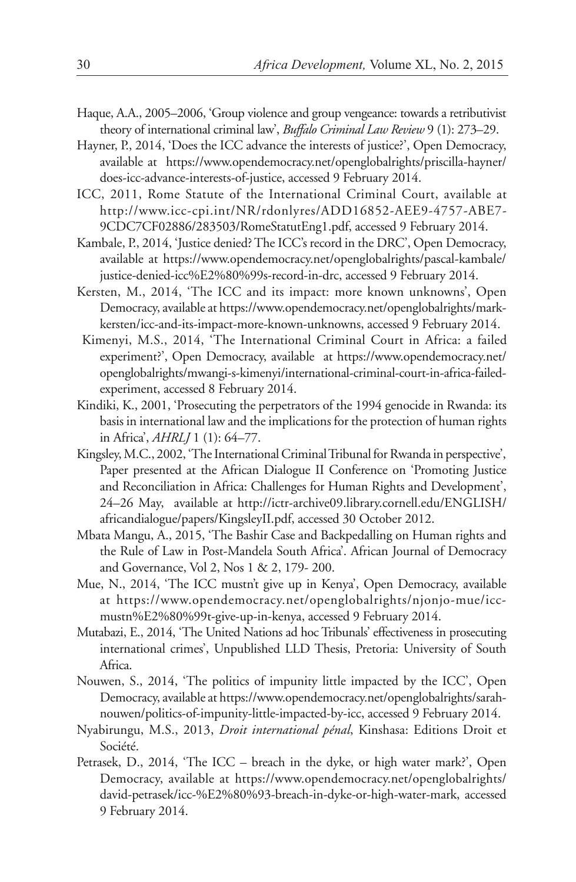- Haque, A.A., 2005–2006, 'Group violence and group vengeance: towards a retributivist theory of international criminal law', *Buffalo Criminal Law Review* 9 (1): 273–29.
- Hayner, P., 2014, 'Does the ICC advance the interests of justice?', Open Democracy, available at https://www.opendemocracy.net/openglobalrights/priscilla-hayner/ does-icc-advance-interests-of-justice, accessed 9 February 2014.
- ICC, 2011, Rome Statute of the International Criminal Court, available at http://www.icc-cpi.int/NR/rdonlyres/ADD16852-AEE9-4757-ABE7- 9CDC7CF02886/283503/RomeStatutEng1.pdf, accessed 9 February 2014.
- Kambale, P., 2014, 'Justice denied? The ICC's record in the DRC', Open Democracy, available at https://www.opendemocracy.net/openglobalrights/pascal-kambale/ justice-denied-icc%E2%80%99s-record-in-drc, accessed 9 February 2014.
- Kersten, M., 2014, 'The ICC and its impact: more known unknowns', Open Democracy, available at https://www.opendemocracy.net/openglobalrights/markkersten/icc-and-its-impact-more-known-unknowns, accessed 9 February 2014.
- Kimenyi, M.S., 2014, 'The International Criminal Court in Africa: a failed experiment?', Open Democracy, available at https://www.opendemocracy.net/ openglobalrights/mwangi-s-kimenyi/international-criminal-court-in-africa-failedexperiment, accessed 8 February 2014.
- Kindiki, K., 2001, 'Prosecuting the perpetrators of the 1994 genocide in Rwanda: its basis in international law and the implications for the protection of human rights in Africa', *AHRLJ* 1 (1): 64–77.
- Kingsley, M.C., 2002, 'The International Criminal Tribunal for Rwanda in perspective', Paper presented at the African Dialogue II Conference on 'Promoting Justice and Reconciliation in Africa: Challenges for Human Rights and Development', 24–26 May, available at http://ictr-archive09.library.cornell.edu/ENGLISH/ africandialogue/papers/KingsleyII.pdf, accessed 30 October 2012.
- Mbata Mangu, A., 2015, 'The Bashir Case and Backpedalling on Human rights and the Rule of Law in Post-Mandela South Africa'. African Journal of Democracy and Governance, Vol 2, Nos 1 & 2, 179- 200.
- Mue, N., 2014, 'The ICC mustn't give up in Kenya', Open Democracy, available at https://www.opendemocracy.net/openglobalrights/njonjo-mue/iccmustn%E2%80%99t-give-up-in-kenya, accessed 9 February 2014.
- Mutabazi, E., 2014, 'The United Nations ad hoc Tribunals' effectiveness in prosecuting international crimes', Unpublished LLD Thesis, Pretoria: University of South Africa.
- Nouwen, S., 2014, 'The politics of impunity little impacted by the ICC', Open Democracy, available at https://www.opendemocracy.net/openglobalrights/sarahnouwen/politics-of-impunity-little-impacted-by-icc, accessed 9 February 2014.
- Nyabirungu, M.S., 2013, *Droit international pénal*, Kinshasa: Editions Droit et Société.
- Petrasek, D., 2014, 'The ICC breach in the dyke, or high water mark?', Open Democracy, available at https://www.opendemocracy.net/openglobalrights/ david-petrasek/icc-%E2%80%93-breach-in-dyke-or-high-water-mark, accessed 9 February 2014.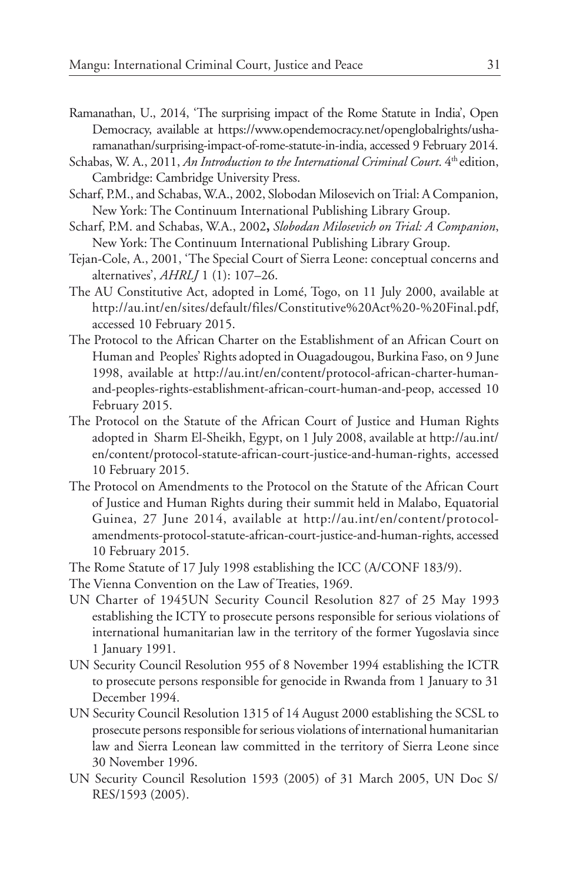- Ramanathan, U., 2014, 'The surprising impact of the Rome Statute in India', Open Democracy, available at https://www.opendemocracy.net/openglobalrights/usharamanathan/surprising-impact-of-rome-statute-in-india, accessed 9 February 2014.
- Schabas, W. A., 2011, *An Introduction to the International Criminal Court*. 4<sup>th</sup> edition, Cambridge: Cambridge University Press.
- Scharf, P.M., and Schabas, W.A., 2002, Slobodan Milosevich on Trial: A Companion, New York: The Continuum International Publishing Library Group.
- Scharf, P.M. and Schabas, W.A., 2002**,** *Slobodan Milosevich on Trial: A Companion*, New York: The Continuum International Publishing Library Group.
- Tejan-Cole, A., 2001, 'The Special Court of Sierra Leone: conceptual concerns and alternatives', *AHRLJ* 1 (1): 107–26.
- The AU Constitutive Act, adopted in Lomé, Togo, on 11 July 2000, available at http://au.int/en/sites/default/files/Constitutive%20Act%20-%20Final.pdf, accessed 10 February 2015.
- The Protocol to the African Charter on the Establishment of an African Court on Human and Peoples' Rights adopted in Ouagadougou, Burkina Faso, on 9 June 1998, available at http://au.int/en/content/protocol-african-charter-humanand-peoples-rights-establishment-african-court-human-and-peop, accessed 10 February 2015.
- The Protocol on the Statute of the African Court of Justice and Human Rights adopted in Sharm El-Sheikh, Egypt, on 1 July 2008, available at http://au.int/ en/content/protocol-statute-african-court-justice-and-human-rights, accessed 10 February 2015.
- The Protocol on Amendments to the Protocol on the Statute of the African Court of Justice and Human Rights during their summit held in Malabo, Equatorial Guinea, 27 June 2014, available at http://au.int/en/content/protocolamendments-protocol-statute-african-court-justice-and-human-rights, accessed 10 February 2015.
- The Rome Statute of 17 July 1998 establishing the ICC (A/CONF 183/9).
- The Vienna Convention on the Law of Treaties, 1969.
- UN Charter of 1945UN Security Council Resolution 827 of 25 May 1993 establishing the ICTY to prosecute persons responsible for serious violations of international humanitarian law in the territory of the former Yugoslavia since 1 January 1991.
- UN Security Council Resolution 955 of 8 November 1994 establishing the ICTR to prosecute persons responsible for genocide in Rwanda from 1 January to 31 December 1994.
- UN Security Council Resolution 1315 of 14 August 2000 establishing the SCSL to prosecute persons responsible for serious violations of international humanitarian law and Sierra Leonean law committed in the territory of Sierra Leone since 30 November 1996.
- UN Security Council Resolution 1593 (2005) of 31 March 2005, UN Doc S/ RES/1593 (2005).